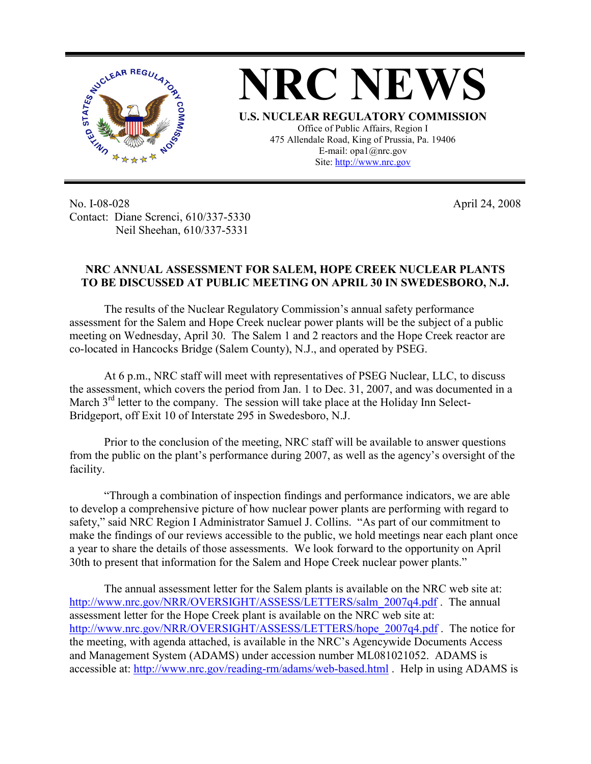

No. I-08-028 Contact: Diane Screnci, 610/337-5330 Neil Sheehan, 610/337-5331

April 24, 2008

## **NRC ANNUAL ASSESSMENT FOR SALEM, HOPE CREEK NUCLEAR PLANTS TO BE DISCUSSED AT PUBLIC MEETING ON APRIL 30 IN SWEDESBORO, N.J.**

The results of the Nuclear Regulatory Commission's annual safety performance assessment for the Salem and Hope Creek nuclear power plants will be the subject of a public meeting on Wednesday, April 30. The Salem 1 and 2 reactors and the Hope Creek reactor are co-located in Hancocks Bridge (Salem County), N.J., and operated by PSEG.

At 6 p.m., NRC staff will meet with representatives of PSEG Nuclear, LLC, to discuss the assessment, which covers the period from Jan. 1 to Dec. 31, 2007, and was documented in a March  $3<sup>rd</sup>$  letter to the company. The session will take place at the Holiday Inn Select-Bridgeport, off Exit 10 of Interstate 295 in Swedesboro, N.J.

Prior to the conclusion of the meeting, NRC staff will be available to answer questions from the public on the plant's performance during 2007, as well as the agency's oversight of the facility.

"Through a combination of inspection findings and performance indicators, we are able to develop a comprehensive picture of how nuclear power plants are performing with regard to safety," said NRC Region I Administrator Samuel J. Collins. "As part of our commitment to make the findings of our reviews accessible to the public, we hold meetings near each plant once a year to share the details of those assessments. We look forward to the opportunity on April 30th to present that information for the Salem and Hope Creek nuclear power plants."

The annual assessment letter for the Salem plants is available on the NRC web site at: http://www.nrc.gov/NRR/OVERSIGHT/ASSESS/LETTERS/salm\_2007q4.pdf . The annual assessment letter for the Hope Creek plant is available on the NRC web site at: http://www.nrc.gov/NRR/OVERSIGHT/ASSESS/LETTERS/hope\_2007q4.pdf . The notice for the meeting, with agenda attached, is available in the NRC's Agencywide Documents Access and Management System (ADAMS) under accession number ML081021052. ADAMS is accessible at: http://www.nrc.gov/reading-rm/adams/web-based.html . Help in using ADAMS is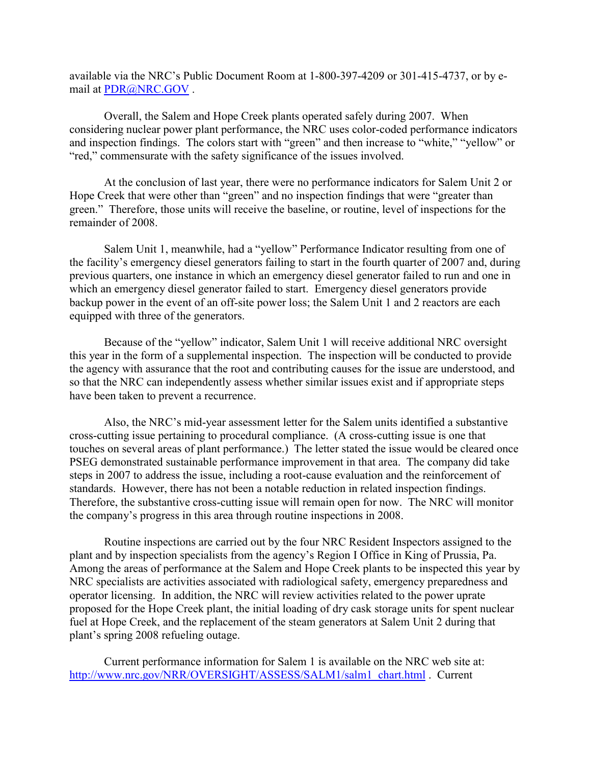available via the NRC's Public Document Room at 1-800-397-4209 or 301-415-4737, or by email at PDR@NRC.GOV .

Overall, the Salem and Hope Creek plants operated safely during 2007. When considering nuclear power plant performance, the NRC uses color-coded performance indicators and inspection findings. The colors start with "green" and then increase to "white," "yellow" or "red," commensurate with the safety significance of the issues involved.

At the conclusion of last year, there were no performance indicators for Salem Unit 2 or Hope Creek that were other than "green" and no inspection findings that were "greater than green." Therefore, those units will receive the baseline, or routine, level of inspections for the remainder of 2008.

Salem Unit 1, meanwhile, had a "yellow" Performance Indicator resulting from one of the facility's emergency diesel generators failing to start in the fourth quarter of 2007 and, during previous quarters, one instance in which an emergency diesel generator failed to run and one in which an emergency diesel generator failed to start. Emergency diesel generators provide backup power in the event of an off-site power loss; the Salem Unit 1 and 2 reactors are each equipped with three of the generators.

Because of the "yellow" indicator, Salem Unit 1 will receive additional NRC oversight this year in the form of a supplemental inspection. The inspection will be conducted to provide the agency with assurance that the root and contributing causes for the issue are understood, and so that the NRC can independently assess whether similar issues exist and if appropriate steps have been taken to prevent a recurrence.

Also, the NRC's mid-year assessment letter for the Salem units identified a substantive cross-cutting issue pertaining to procedural compliance. (A cross-cutting issue is one that touches on several areas of plant performance.) The letter stated the issue would be cleared once PSEG demonstrated sustainable performance improvement in that area. The company did take steps in 2007 to address the issue, including a root-cause evaluation and the reinforcement of standards. However, there has not been a notable reduction in related inspection findings. Therefore, the substantive cross-cutting issue will remain open for now. The NRC will monitor the company's progress in this area through routine inspections in 2008.

Routine inspections are carried out by the four NRC Resident Inspectors assigned to the plant and by inspection specialists from the agency's Region I Office in King of Prussia, Pa. Among the areas of performance at the Salem and Hope Creek plants to be inspected this year by NRC specialists are activities associated with radiological safety, emergency preparedness and operator licensing. In addition, the NRC will review activities related to the power uprate proposed for the Hope Creek plant, the initial loading of dry cask storage units for spent nuclear fuel at Hope Creek, and the replacement of the steam generators at Salem Unit 2 during that plant's spring 2008 refueling outage.

Current performance information for Salem 1 is available on the NRC web site at: http://www.nrc.gov/NRR/OVERSIGHT/ASSESS/SALM1/salm1\_chart.html . Current